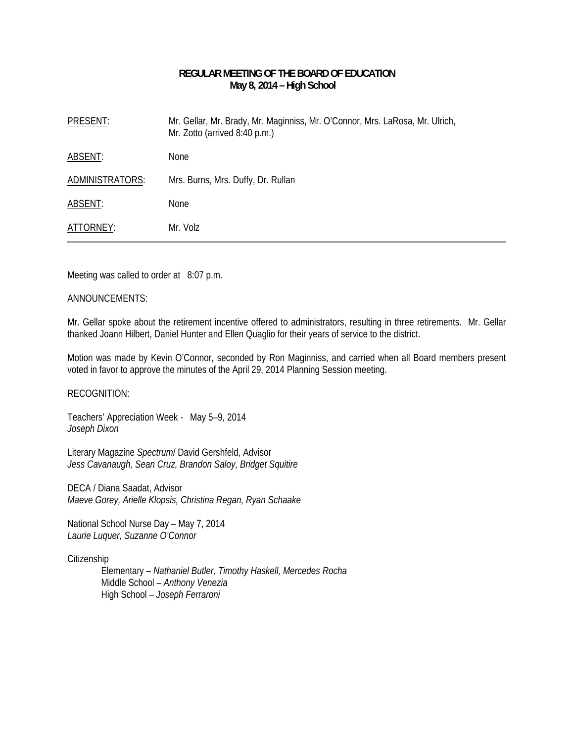# **REGULAR MEETING OF THE BOARD OF EDUCATION May 8, 2014 – High School**

| PRESENT:        | Mr. Gellar, Mr. Brady, Mr. Maginniss, Mr. O'Connor, Mrs. LaRosa, Mr. Ulrich,<br>Mr. Zotto (arrived 8:40 p.m.) |
|-----------------|---------------------------------------------------------------------------------------------------------------|
| ABSENT:         | <b>None</b>                                                                                                   |
| ADMINISTRATORS: | Mrs. Burns, Mrs. Duffy, Dr. Rullan                                                                            |
| ABSENT:         | <b>None</b>                                                                                                   |
| ATTORNEY:       | Mr. Volz                                                                                                      |

Meeting was called to order at 8:07 p.m.

### ANNOUNCEMENTS:

Mr. Gellar spoke about the retirement incentive offered to administrators, resulting in three retirements. Mr. Gellar thanked Joann Hilbert, Daniel Hunter and Ellen Quaglio for their years of service to the district.

Motion was made by Kevin O'Connor, seconded by Ron Maginniss, and carried when all Board members present voted in favor to approve the minutes of the April 29, 2014 Planning Session meeting.

RECOGNITION:

Teachers' Appreciation Week - May 5–9, 2014 *Joseph Dixon* 

Literary Magazine *Spectrum*/ David Gershfeld, Advisor *Jess Cavanaugh, Sean Cruz, Brandon Saloy, Bridget Squitire* 

DECA / Diana Saadat, Advisor *Maeve Gorey, Arielle Klopsis, Christina Regan, Ryan Schaake* 

National School Nurse Day – May 7, 2014 *Laurie Luquer, Suzanne O'Connor* 

**Citizenship** 

Elementary – *Nathaniel Butler, Timothy Haskell, Mercedes Rocha*  Middle School – *Anthony Venezia*  High School – *Joseph Ferraroni*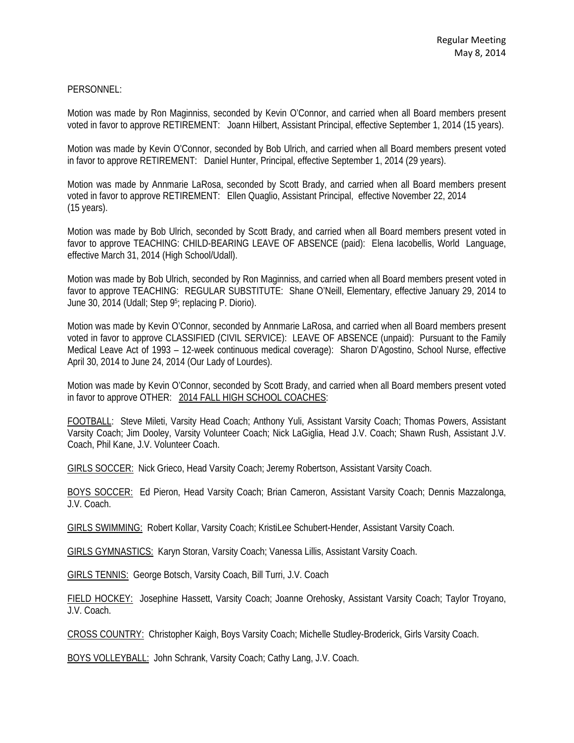## PERSONNEL:

Motion was made by Ron Maginniss, seconded by Kevin O'Connor, and carried when all Board members present voted in favor to approve RETIREMENT: Joann Hilbert, Assistant Principal, effective September 1, 2014 (15 years).

Motion was made by Kevin O'Connor, seconded by Bob Ulrich, and carried when all Board members present voted in favor to approve RETIREMENT: Daniel Hunter, Principal, effective September 1, 2014 (29 years).

Motion was made by Annmarie LaRosa, seconded by Scott Brady, and carried when all Board members present voted in favor to approve RETIREMENT: Ellen Quaglio, Assistant Principal, effective November 22, 2014 (15 years).

Motion was made by Bob Ulrich, seconded by Scott Brady, and carried when all Board members present voted in favor to approve TEACHING: CHILD-BEARING LEAVE OF ABSENCE (paid): Elena Iacobellis, World Language, effective March 31, 2014 (High School/Udall).

Motion was made by Bob Ulrich, seconded by Ron Maginniss, and carried when all Board members present voted in favor to approve TEACHING: REGULAR SUBSTITUTE: Shane O'Neill, Elementary, effective January 29, 2014 to June 30, 2014 (Udall; Step 95; replacing P. Diorio).

Motion was made by Kevin O'Connor, seconded by Annmarie LaRosa, and carried when all Board members present voted in favor to approve CLASSIFIED (CIVIL SERVICE): LEAVE OF ABSENCE (unpaid): Pursuant to the Family Medical Leave Act of 1993 – 12-week continuous medical coverage): Sharon D'Agostino, School Nurse, effective April 30, 2014 to June 24, 2014 (Our Lady of Lourdes).

Motion was made by Kevin O'Connor, seconded by Scott Brady, and carried when all Board members present voted in favor to approve OTHER: 2014 FALL HIGH SCHOOL COACHES:

FOOTBALL: Steve Mileti, Varsity Head Coach; Anthony Yuli, Assistant Varsity Coach; Thomas Powers, Assistant Varsity Coach; Jim Dooley, Varsity Volunteer Coach; Nick LaGiglia, Head J.V. Coach; Shawn Rush, Assistant J.V. Coach, Phil Kane, J.V. Volunteer Coach.

GIRLS SOCCER: Nick Grieco, Head Varsity Coach; Jeremy Robertson, Assistant Varsity Coach.

BOYS SOCCER: Ed Pieron, Head Varsity Coach; Brian Cameron, Assistant Varsity Coach; Dennis Mazzalonga, J.V. Coach.

GIRLS SWIMMING: Robert Kollar, Varsity Coach; KristiLee Schubert-Hender, Assistant Varsity Coach.

GIRLS GYMNASTICS: Karyn Storan, Varsity Coach; Vanessa Lillis, Assistant Varsity Coach.

GIRLS TENNIS: George Botsch, Varsity Coach, Bill Turri, J.V. Coach

FIELD HOCKEY: Josephine Hassett, Varsity Coach; Joanne Orehosky, Assistant Varsity Coach; Taylor Troyano, J.V. Coach.

CROSS COUNTRY: Christopher Kaigh, Boys Varsity Coach; Michelle Studley-Broderick, Girls Varsity Coach.

BOYS VOLLEYBALL: John Schrank, Varsity Coach; Cathy Lang, J.V. Coach.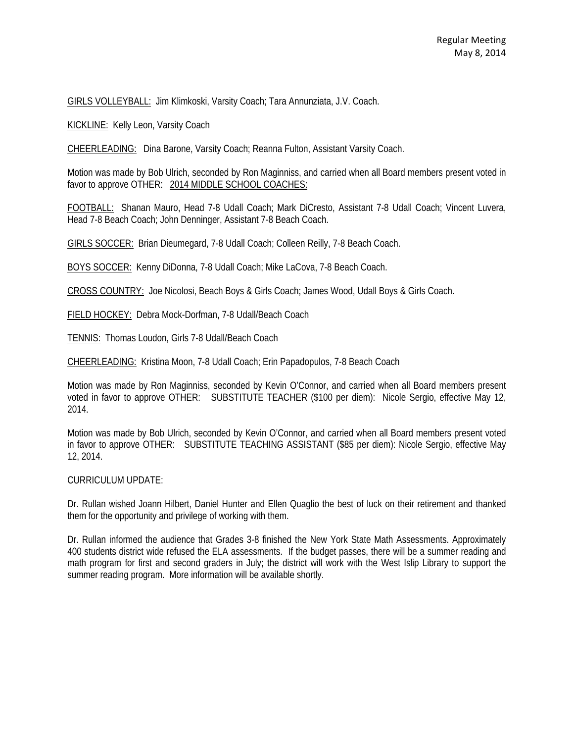GIRLS VOLLEYBALL: Jim Klimkoski, Varsity Coach; Tara Annunziata, J.V. Coach.

KICKLINE: Kelly Leon, Varsity Coach

CHEERLEADING: Dina Barone, Varsity Coach; Reanna Fulton, Assistant Varsity Coach.

Motion was made by Bob Ulrich, seconded by Ron Maginniss, and carried when all Board members present voted in favor to approve OTHER: 2014 MIDDLE SCHOOL COACHES:

FOOTBALL: Shanan Mauro, Head 7-8 Udall Coach; Mark DiCresto, Assistant 7-8 Udall Coach; Vincent Luvera, Head 7-8 Beach Coach; John Denninger, Assistant 7-8 Beach Coach.

GIRLS SOCCER: Brian Dieumegard, 7-8 Udall Coach; Colleen Reilly, 7-8 Beach Coach.

BOYS SOCCER: Kenny DiDonna, 7-8 Udall Coach; Mike LaCova, 7-8 Beach Coach.

CROSS COUNTRY: Joe Nicolosi, Beach Boys & Girls Coach; James Wood, Udall Boys & Girls Coach.

FIELD HOCKEY: Debra Mock-Dorfman, 7-8 Udall/Beach Coach

TENNIS: Thomas Loudon, Girls 7-8 Udall/Beach Coach

CHEERLEADING: Kristina Moon, 7-8 Udall Coach; Erin Papadopulos, 7-8 Beach Coach

Motion was made by Ron Maginniss, seconded by Kevin O'Connor, and carried when all Board members present voted in favor to approve OTHER: SUBSTITUTE TEACHER (\$100 per diem): Nicole Sergio, effective May 12, 2014.

Motion was made by Bob Ulrich, seconded by Kevin O'Connor, and carried when all Board members present voted in favor to approve OTHER: SUBSTITUTE TEACHING ASSISTANT (\$85 per diem): Nicole Sergio, effective May 12, 2014.

#### CURRICULUM UPDATE:

Dr. Rullan wished Joann Hilbert, Daniel Hunter and Ellen Quaglio the best of luck on their retirement and thanked them for the opportunity and privilege of working with them.

Dr. Rullan informed the audience that Grades 3-8 finished the New York State Math Assessments. Approximately 400 students district wide refused the ELA assessments. If the budget passes, there will be a summer reading and math program for first and second graders in July; the district will work with the West Islip Library to support the summer reading program. More information will be available shortly.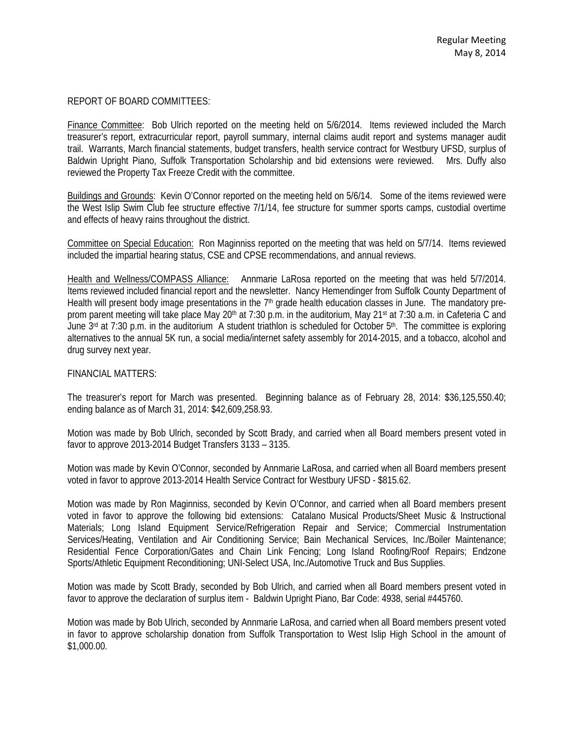### REPORT OF BOARD COMMITTEES:

Finance Committee: Bob Ulrich reported on the meeting held on 5/6/2014. Items reviewed included the March treasurer's report, extracurricular report, payroll summary, internal claims audit report and systems manager audit trail. Warrants, March financial statements, budget transfers, health service contract for Westbury UFSD, surplus of Baldwin Upright Piano, Suffolk Transportation Scholarship and bid extensions were reviewed. Mrs. Duffy also reviewed the Property Tax Freeze Credit with the committee.

Buildings and Grounds: Kevin O'Connor reported on the meeting held on 5/6/14. Some of the items reviewed were the West Islip Swim Club fee structure effective 7/1/14, fee structure for summer sports camps, custodial overtime and effects of heavy rains throughout the district.

Committee on Special Education: Ron Maginniss reported on the meeting that was held on 5/7/14. Items reviewed included the impartial hearing status, CSE and CPSE recommendations, and annual reviews.

Health and Wellness/COMPASS Alliance: Annmarie LaRosa reported on the meeting that was held 5/7/2014. Items reviewed included financial report and the newsletter. Nancy Hemendinger from Suffolk County Department of Health will present body image presentations in the  $7<sup>th</sup>$  grade health education classes in June. The mandatory preprom parent meeting will take place May 20<sup>th</sup> at 7:30 p.m. in the auditorium, May 21<sup>st</sup> at 7:30 a.m. in Cafeteria C and June  $3<sup>rd</sup>$  at 7:30 p.m. in the auditorium A student triathlon is scheduled for October  $5<sup>th</sup>$ . The committee is exploring alternatives to the annual 5K run, a social media/internet safety assembly for 2014-2015, and a tobacco, alcohol and drug survey next year.

### FINANCIAL MATTERS:

The treasurer's report for March was presented. Beginning balance as of February 28, 2014: \$36,125,550.40; ending balance as of March 31, 2014: \$42,609,258.93.

Motion was made by Bob Ulrich, seconded by Scott Brady, and carried when all Board members present voted in favor to approve 2013-2014 Budget Transfers 3133 – 3135.

Motion was made by Kevin O'Connor, seconded by Annmarie LaRosa, and carried when all Board members present voted in favor to approve 2013-2014 Health Service Contract for Westbury UFSD - \$815.62.

Motion was made by Ron Maginniss, seconded by Kevin O'Connor, and carried when all Board members present voted in favor to approve the following bid extensions: Catalano Musical Products/Sheet Music & Instructional Materials; Long Island Equipment Service/Refrigeration Repair and Service; Commercial Instrumentation Services/Heating, Ventilation and Air Conditioning Service; Bain Mechanical Services, Inc./Boiler Maintenance; Residential Fence Corporation/Gates and Chain Link Fencing; Long Island Roofing/Roof Repairs; Endzone Sports/Athletic Equipment Reconditioning; UNI-Select USA, Inc./Automotive Truck and Bus Supplies.

Motion was made by Scott Brady, seconded by Bob Ulrich, and carried when all Board members present voted in favor to approve the declaration of surplus item - Baldwin Upright Piano, Bar Code: 4938, serial #445760.

Motion was made by Bob Ulrich, seconded by Annmarie LaRosa, and carried when all Board members present voted in favor to approve scholarship donation from Suffolk Transportation to West Islip High School in the amount of \$1,000.00.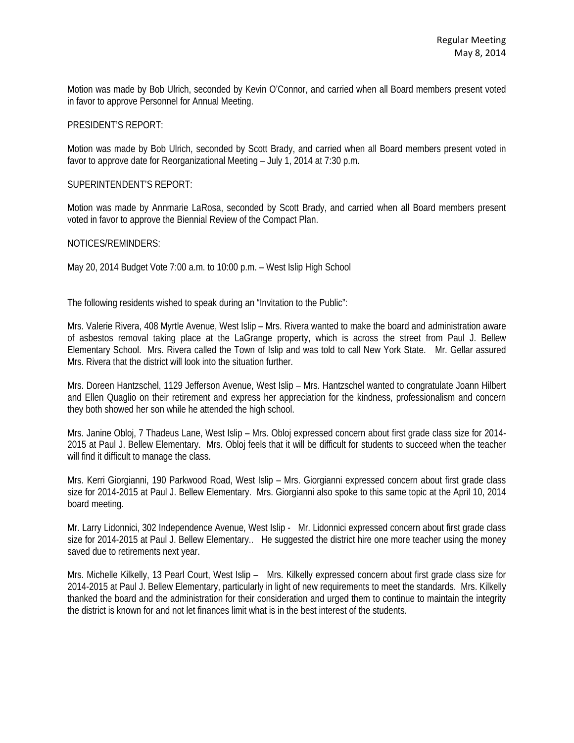Motion was made by Bob Ulrich, seconded by Kevin O'Connor, and carried when all Board members present voted in favor to approve Personnel for Annual Meeting.

PRESIDENT'S REPORT:

Motion was made by Bob Ulrich, seconded by Scott Brady, and carried when all Board members present voted in favor to approve date for Reorganizational Meeting – July 1, 2014 at 7:30 p.m.

SUPERINTENDENT'S REPORT:

Motion was made by Annmarie LaRosa, seconded by Scott Brady, and carried when all Board members present voted in favor to approve the Biennial Review of the Compact Plan.

NOTICES/REMINDERS:

May 20, 2014 Budget Vote 7:00 a.m. to 10:00 p.m. – West Islip High School

The following residents wished to speak during an "Invitation to the Public":

Mrs. Valerie Rivera, 408 Myrtle Avenue, West Islip – Mrs. Rivera wanted to make the board and administration aware of asbestos removal taking place at the LaGrange property, which is across the street from Paul J. Bellew Elementary School. Mrs. Rivera called the Town of Islip and was told to call New York State. Mr. Gellar assured Mrs. Rivera that the district will look into the situation further.

Mrs. Doreen Hantzschel, 1129 Jefferson Avenue, West Islip – Mrs. Hantzschel wanted to congratulate Joann Hilbert and Ellen Quaglio on their retirement and express her appreciation for the kindness, professionalism and concern they both showed her son while he attended the high school.

Mrs. Janine Obloj, 7 Thadeus Lane, West Islip – Mrs. Obloj expressed concern about first grade class size for 2014- 2015 at Paul J. Bellew Elementary. Mrs. Obloj feels that it will be difficult for students to succeed when the teacher will find it difficult to manage the class.

Mrs. Kerri Giorgianni, 190 Parkwood Road, West Islip – Mrs. Giorgianni expressed concern about first grade class size for 2014-2015 at Paul J. Bellew Elementary. Mrs. Giorgianni also spoke to this same topic at the April 10, 2014 board meeting.

Mr. Larry Lidonnici, 302 Independence Avenue, West Islip - Mr. Lidonnici expressed concern about first grade class size for 2014-2015 at Paul J. Bellew Elementary.. He suggested the district hire one more teacher using the money saved due to retirements next year.

Mrs. Michelle Kilkelly, 13 Pearl Court, West Islip – Mrs. Kilkelly expressed concern about first grade class size for 2014-2015 at Paul J. Bellew Elementary, particularly in light of new requirements to meet the standards. Mrs. Kilkelly thanked the board and the administration for their consideration and urged them to continue to maintain the integrity the district is known for and not let finances limit what is in the best interest of the students.